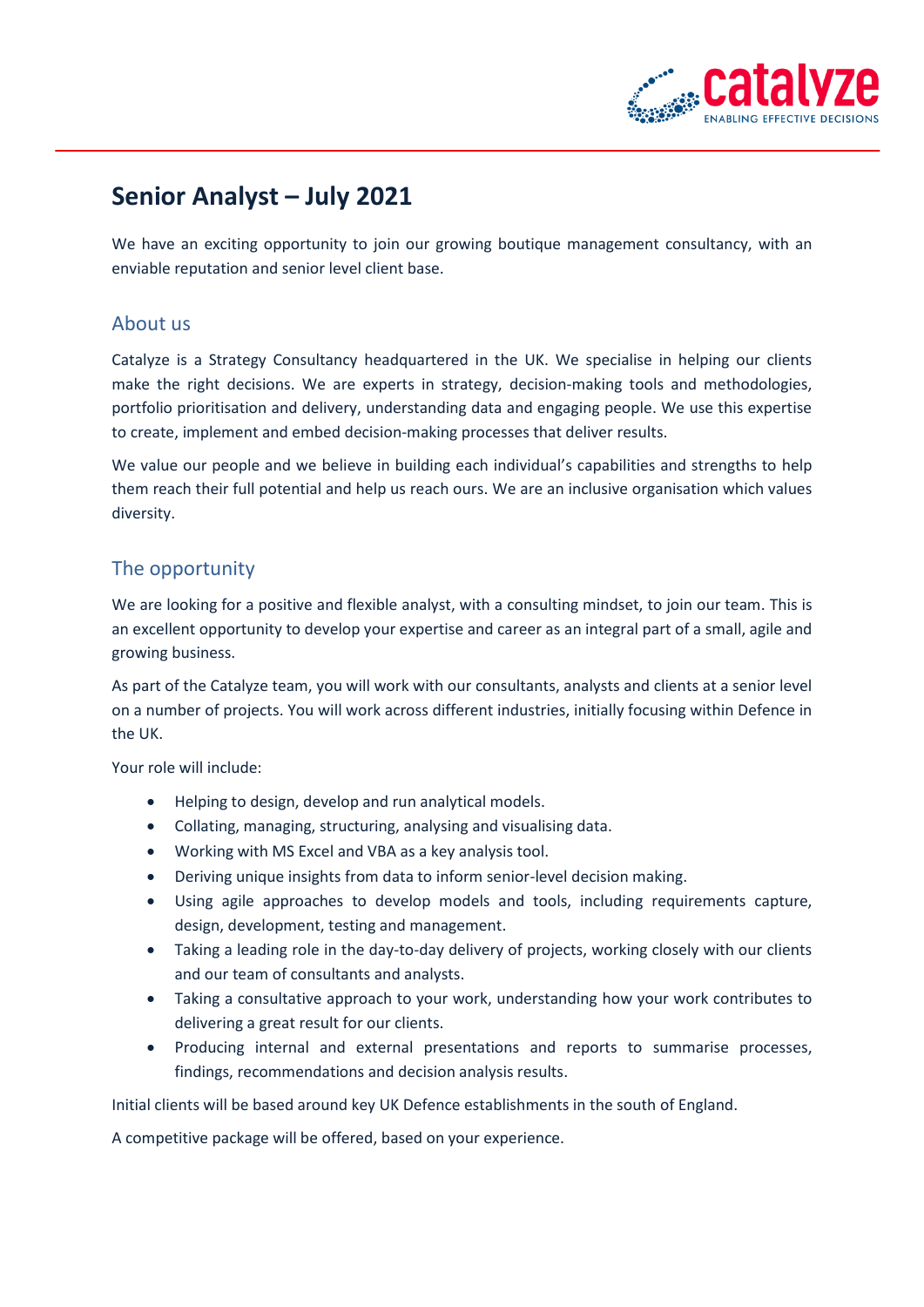

# **Senior Analyst – July 2021**

We have an exciting opportunity to join our growing boutique management consultancy, with an enviable reputation and senior level client base.

#### About us

Catalyze is a Strategy Consultancy headquartered in the UK. We specialise in helping our clients make the right decisions. We are experts in strategy, decision-making tools and methodologies, portfolio prioritisation and delivery, understanding data and engaging people. We use this expertise to create, implement and embed decision-making processes that deliver results.

We value our people and we believe in building each individual's capabilities and strengths to help them reach their full potential and help us reach ours. We are an inclusive organisation which values diversity.

## The opportunity

We are looking for a positive and flexible analyst, with a consulting mindset, to join our team. This is an excellent opportunity to develop your expertise and career as an integral part of a small, agile and growing business.

As part of the Catalyze team, you will work with our consultants, analysts and clients at a senior level on a number of projects. You will work across different industries, initially focusing within Defence in the UK.

Your role will include:

- Helping to design, develop and run analytical models.
- Collating, managing, structuring, analysing and visualising data.
- Working with MS Excel and VBA as a key analysis tool.
- Deriving unique insights from data to inform senior-level decision making.
- Using agile approaches to develop models and tools, including requirements capture, design, development, testing and management.
- Taking a leading role in the day-to-day delivery of projects, working closely with our clients and our team of consultants and analysts.
- Taking a consultative approach to your work, understanding how your work contributes to delivering a great result for our clients.
- Producing internal and external presentations and reports to summarise processes, findings, recommendations and decision analysis results.

Initial clients will be based around key UK Defence establishments in the south of England.

A competitive package will be offered, based on your experience.